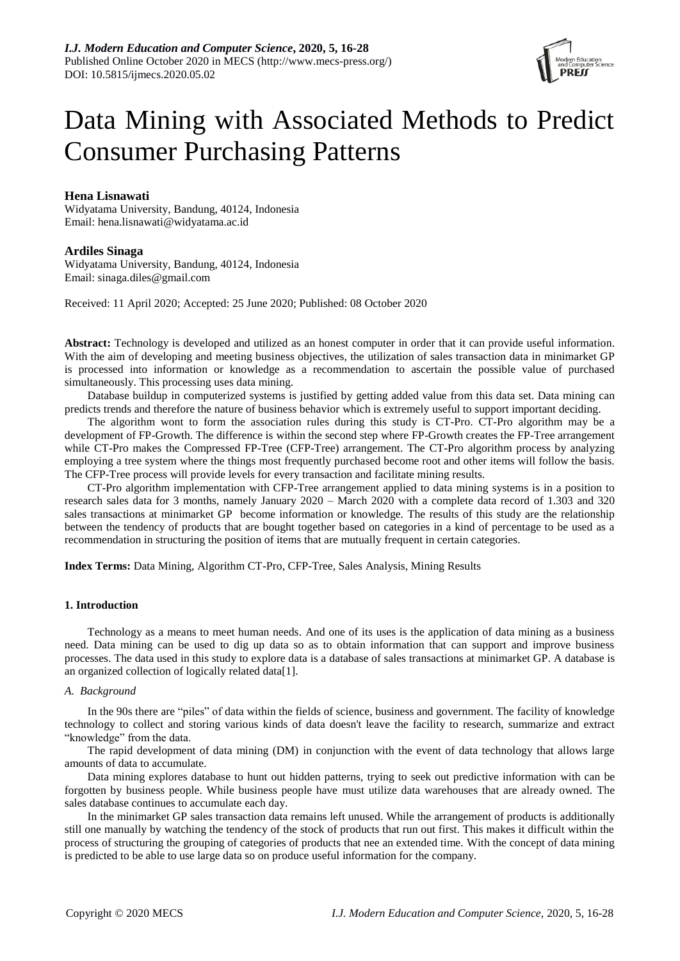

# Data Mining with Associated Methods to Predict Consumer Purchasing Patterns

# **Hena Lisnawati**

Widyatama University, Bandung, 40124, Indonesia Email: hena.lisnawati@widyatama.ac.id

# **Ardiles Sinaga**

Widyatama University, Bandung, 40124, Indonesia Email: sinaga.diles@gmail.com

Received: 11 April 2020; Accepted: 25 June 2020; Published: 08 October 2020

**Abstract:** Technology is developed and utilized as an honest computer in order that it can provide useful information. With the aim of developing and meeting business objectives, the utilization of sales transaction data in minimarket GP is processed into information or knowledge as a recommendation to ascertain the possible value of purchased simultaneously. This processing uses data mining.

Database buildup in computerized systems is justified by getting added value from this data set. Data mining can predicts trends and therefore the nature of business behavior which is extremely useful to support important deciding.

The algorithm wont to form the association rules during this study is CT-Pro. CT-Pro algorithm may be a development of FP-Growth. The difference is within the second step where FP-Growth creates the FP-Tree arrangement while CT-Pro makes the Compressed FP-Tree (CFP-Tree) arrangement. The CT-Pro algorithm process by analyzing employing a tree system where the things most frequently purchased become root and other items will follow the basis. The CFP-Tree process will provide levels for every transaction and facilitate mining results.

CT-Pro algorithm implementation with CFP-Tree arrangement applied to data mining systems is in a position to research sales data for 3 months, namely January 2020 – March 2020 with a complete data record of 1.303 and 320 sales transactions at minimarket GP become information or knowledge. The results of this study are the relationship between the tendency of products that are bought together based on categories in a kind of percentage to be used as a recommendation in structuring the position of items that are mutually frequent in certain categories.

**Index Terms:** Data Mining, Algorithm CT-Pro, CFP-Tree, Sales Analysis, Mining Results

# **1. Introduction**

Technology as a means to meet human needs. And one of its uses is the application of data mining as a business need. Data mining can be used to dig up data so as to obtain information that can support and improve business processes. The data used in this study to explore data is a database of sales transactions at minimarket GP. A database is an organized collection of logically related dat[a\[1\].](#page-11-0)

## *A. Background*

In the 90s there are "piles" of data within the fields of science, business and government. The facility of knowledge technology to collect and storing various kinds of data doesn't leave the facility to research, summarize and extract "knowledge" from the data.

The rapid development of data mining (DM) in conjunction with the event of data technology that allows large amounts of data to accumulate.

Data mining explores database to hunt out hidden patterns, trying to seek out predictive information with can be forgotten by business people. While business people have must utilize data warehouses that are already owned. The sales database continues to accumulate each day.

In the minimarket GP sales transaction data remains left unused. While the arrangement of products is additionally still one manually by watching the tendency of the stock of products that run out first. This makes it difficult within the process of structuring the grouping of categories of products that nee an extended time. With the concept of data mining is predicted to be able to use large data so on produce useful information for the company.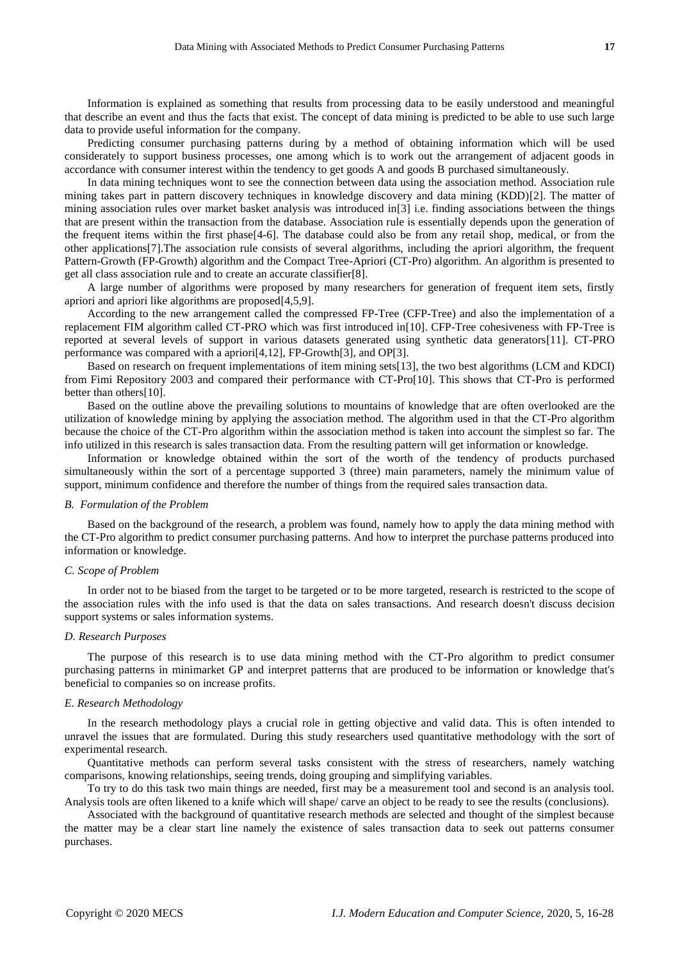Information is explained as something that results from processing data to be easily understood and meaningful that describe an event and thus the facts that exist. The concept of data mining is predicted to be able to use such large data to provide useful information for the company.

Predicting consumer purchasing patterns during by a method of obtaining information which will be used considerately to support business processes, one among which is to work out the arrangement of adjacent goods in accordance with consumer interest within the tendency to get goods A and goods B purchased simultaneously.

In data mining techniques wont to see the connection between data using the association method. Association rule mining takes part in pattern discovery techniques in knowledge discovery and data mining (KDD[\)\[2\].](#page-11-1) The matter of mining association rules over market basket analysis was introduced i[n\[3\]](#page-11-2) i.e. finding associations between the things that are present within the transaction from the database. Association rule is essentially depends upon the generation of the frequent items within the first phase[4-6]. The database could also be from any retail shop, medical, or from the other application[s\[7\].](#page-11-3)The association rule consists of several algorithms, including the apriori algorithm, the frequent Pattern-Growth (FP-Growth) algorithm and the Compact Tree-Apriori (CT-Pro) algorithm. An algorithm is presented to get all class association rule and to create an accurate classifie[r\[8\].](#page-11-4)

A large number of algorithms were proposed by many researchers for generation of frequent item sets, firstly apriori and apriori like algorithms are proposed[4,5,9].

According to the new arrangement called the compressed FP-Tree (CFP-Tree) and also the implementation of a replacement FIM algorithm called CT-PRO which was first introduced i[n\[10\].](#page-11-5) CFP-Tree cohesiveness with FP-Tree is reported at several levels of support in various datasets generated using synthetic data generator[s\[11\].](#page-11-6) CT-PRO performance was compared with a apriori[4,12], FP-Growt[h\[3\],](#page-11-2) and O[P\[3\].](#page-11-2)

Based on research on frequent implementations of item mining set[s\[13\],](#page-11-7) the two best algorithms (LCM and KDCI) from Fimi Repository 2003 and compared their performance with CT-Pr[o\[10\].](#page-11-5) This shows that CT-Pro is performed better than other[s\[10\].](#page-11-5)

Based on the outline above the prevailing solutions to mountains of knowledge that are often overlooked are the utilization of knowledge mining by applying the association method. The algorithm used in that the CT-Pro algorithm because the choice of the CT-Pro algorithm within the association method is taken into account the simplest so far. The info utilized in this research is sales transaction data. From the resulting pattern will get information or knowledge.

Information or knowledge obtained within the sort of the worth of the tendency of products purchased simultaneously within the sort of a percentage supported 3 (three) main parameters, namely the minimum value of support, minimum confidence and therefore the number of things from the required sales transaction data.

# *B. Formulation of the Problem*

Based on the background of the research, a problem was found, namely how to apply the data mining method with the CT-Pro algorithm to predict consumer purchasing patterns. And how to interpret the purchase patterns produced into information or knowledge.

# *C. Scope of Problem*

In order not to be biased from the target to be targeted or to be more targeted, research is restricted to the scope of the association rules with the info used is that the data on sales transactions. And research doesn't discuss decision support systems or sales information systems.

## *D. Research Purposes*

The purpose of this research is to use data mining method with the CT-Pro algorithm to predict consumer purchasing patterns in minimarket GP and interpret patterns that are produced to be information or knowledge that's beneficial to companies so on increase profits.

## *E. Research Methodology*

In the research methodology plays a crucial role in getting objective and valid data. This is often intended to unravel the issues that are formulated. During this study researchers used quantitative methodology with the sort of experimental research.

Quantitative methods can perform several tasks consistent with the stress of researchers, namely watching comparisons, knowing relationships, seeing trends, doing grouping and simplifying variables.

To try to do this task two main things are needed, first may be a measurement tool and second is an analysis tool. Analysis tools are often likened to a knife which will shape/ carve an object to be ready to see the results (conclusions).

Associated with the background of quantitative research methods are selected and thought of the simplest because the matter may be a clear start line namely the existence of sales transaction data to seek out patterns consumer purchases.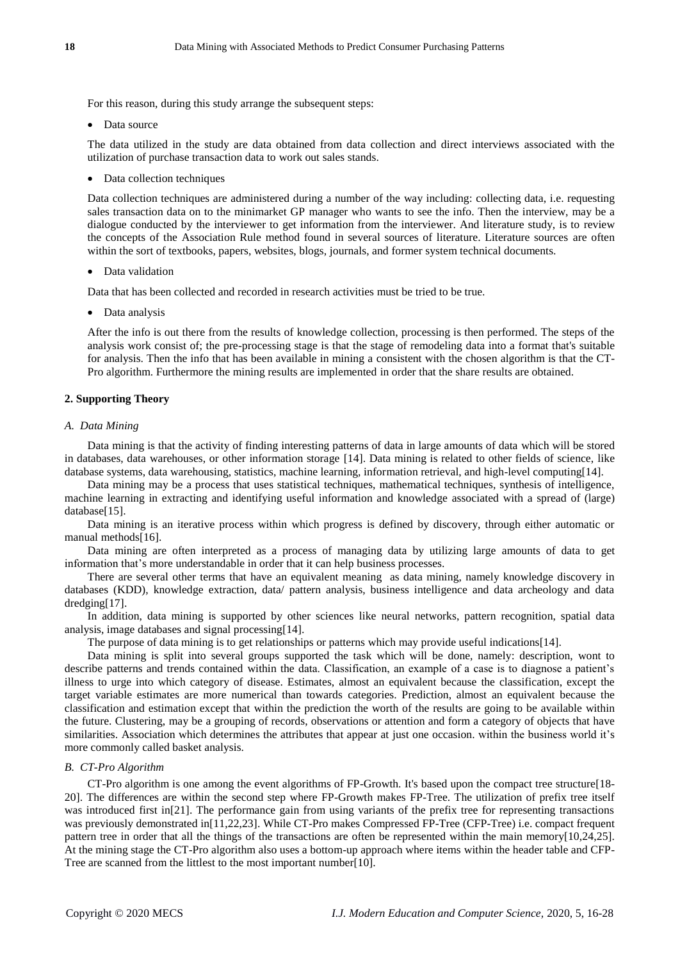For this reason, during this study arrange the subsequent steps:

• Data source

The data utilized in the study are data obtained from data collection and direct interviews associated with the utilization of purchase transaction data to work out sales stands.

• Data collection techniques

Data collection techniques are administered during a number of the way including: collecting data, i.e. requesting sales transaction data on to the minimarket GP manager who wants to see the info. Then the interview, may be a dialogue conducted by the interviewer to get information from the interviewer. And literature study, is to review the concepts of the Association Rule method found in several sources of literature. Literature sources are often within the sort of textbooks, papers, websites, blogs, journals, and former system technical documents.

• Data validation

Data that has been collected and recorded in research activities must be tried to be true.

• Data analysis

After the info is out there from the results of knowledge collection, processing is then performed. The steps of the analysis work consist of; the pre-processing stage is that the stage of remodeling data into a format that's suitable for analysis. Then the info that has been available in mining a consistent with the chosen algorithm is that the CT-Pro algorithm. Furthermore the mining results are implemented in order that the share results are obtained.

## **2. Supporting Theory**

#### *A. Data Mining*

Data mining is that the activity of finding interesting patterns of data in large amounts of data which will be stored in databases, data warehouses, or other information storage [\[14\].](#page-11-8) Data mining is related to other fields of science, like database systems, data warehousing, statistics, machine learning, information retrieval, and high-level computin[g\[14\].](#page-11-8)

Data mining may be a process that uses statistical techniques, mathematical techniques, synthesis of intelligence, machine learning in extracting and identifying useful information and knowledge associated with a spread of (large) databas[e\[15\].](#page-11-9)

Data mining is an iterative process within which progress is defined by discovery, through either automatic or manual method[s\[16\].](#page-11-10)

Data mining are often interpreted as a process of managing data by utilizing large amounts of data to get information that's more understandable in order that it can help business processes.

There are several other terms that have an equivalent meaning as data mining, namely knowledge discovery in databases (KDD), knowledge extraction, data/ pattern analysis, business intelligence and data archeology and data dredgin[g\[17\].](#page-11-11)

In addition, data mining is supported by other sciences like neural networks, pattern recognition, spatial data analysis, image databases and signal processin[g\[14\].](#page-11-8)

The purpose of data mining is to get relationships or patterns which may provide useful indication[s\[14\].](#page-11-8)

Data mining is split into several groups supported the task which will be done, namely: description, wont to describe patterns and trends contained within the data. Classification, an example of a case is to diagnose a patient's illness to urge into which category of disease. Estimates, almost an equivalent because the classification, except the target variable estimates are more numerical than towards categories. Prediction, almost an equivalent because the classification and estimation except that within the prediction the worth of the results are going to be available within the future. Clustering, may be a grouping of records, observations or attention and form a category of objects that have similarities. Association which determines the attributes that appear at just one occasion. within the business world it's more commonly called basket analysis.

## *B. CT-Pro Algorithm*

CT-Pro algorithm is one among the event algorithms of FP-Growth. It's based upon the compact tree structure[18- 20]. The differences are within the second step where FP-Growth makes FP-Tree. The utilization of prefix tree itself was introduced first in<sup>[21]</sup>. The performance gain from using variants of the prefix tree for representing transactions was previously demonstrated in[11,22,23]. While CT-Pro makes Compressed FP-Tree (CFP-Tree) i.e. compact frequent pattern tree in order that all the things of the transactions are often be represented within the main memory[10,24,25]. At the mining stage the CT-Pro algorithm also uses a bottom-up approach where items within the header table and CFP-Tree are scanned from the littlest to the most important numbe[r\[10\].](#page-11-5)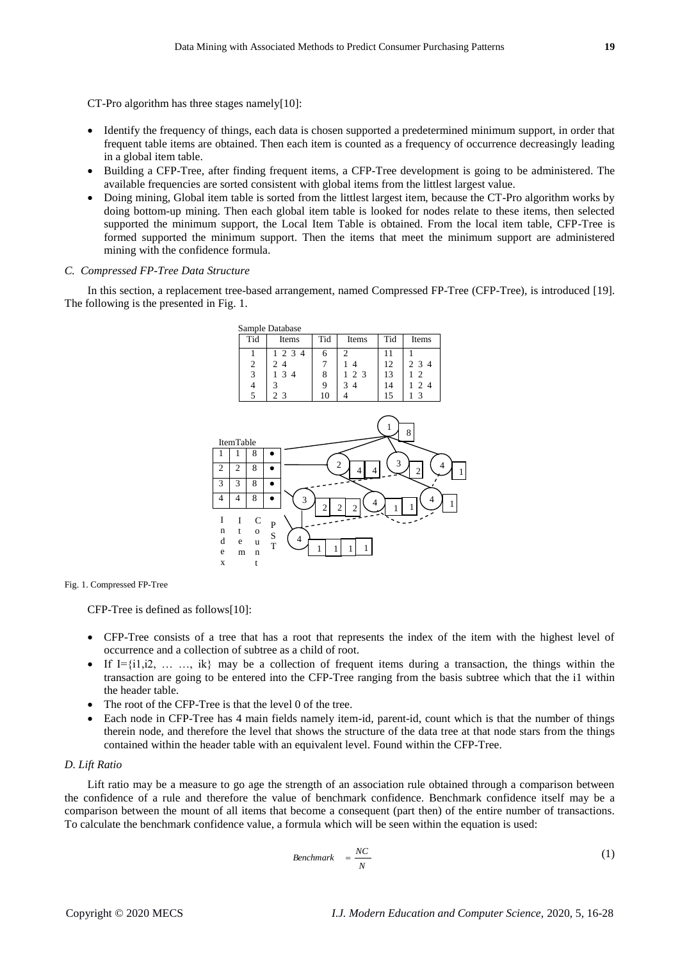CT-Pro algorithm has three stages namel[y\[10\]:](#page-11-5)

- Identify the frequency of things, each data is chosen supported a predetermined minimum support, in order that frequent table items are obtained. Then each item is counted as a frequency of occurrence decreasingly leading in a global item table.
- Building a CFP-Tree, after finding frequent items, a CFP-Tree development is going to be administered. The available frequencies are sorted consistent with global items from the littlest largest value.
- Doing mining, Global item table is sorted from the littlest largest item, because the CT-Pro algorithm works by doing bottom-up mining. Then each global item table is looked for nodes relate to these items, then selected supported the minimum support, the Local Item Table is obtained. From the local item table, CFP-Tree is formed supported the minimum support. Then the items that meet the minimum support are administered mining with the confidence formula.

## *C. Compressed FP-Tree Data Structure*

In this section, a replacement tree-based arrangement, named Compressed FP-Tree (CFP-Tree), is introduced [\[19\].](#page-11-13) The following is the presented in [Fig.](#page-3-0) 1.



<span id="page-3-0"></span>Fig. 1. Compressed FP-Tree

CFP-Tree is defined as follow[s\[10\]:](#page-11-5)

- CFP-Tree consists of a tree that has a root that represents the index of the item with the highest level of occurrence and a collection of subtree as a child of root.
- If I= $\{i1, i2, \ldots, ik\}$  may be a collection of frequent items during a transaction, the things within the transaction are going to be entered into the CFP-Tree ranging from the basis subtree which that the i1 within the header table.
- The root of the CFP-Tree is that the level 0 of the tree.

t

 Each node in CFP-Tree has 4 main fields namely item-id, parent-id, count which is that the number of things therein node, and therefore the level that shows the structure of the data tree at that node stars from the things contained within the header table with an equivalent level. Found within the CFP-Tree.

#### *D. Lift Ratio*

Lift ratio may be a measure to go age the strength of an association rule obtained through a comparison between the confidence of a rule and therefore the value of benchmark confidence. Benchmark confidence itself may be a comparison between the mount of all items that become a consequent (part then) of the entire number of transactions. To calculate the benchmark confidence value, a formula which will be seen within the equation is used:

$$
Benchmark = \frac{NC}{N}
$$
 (1)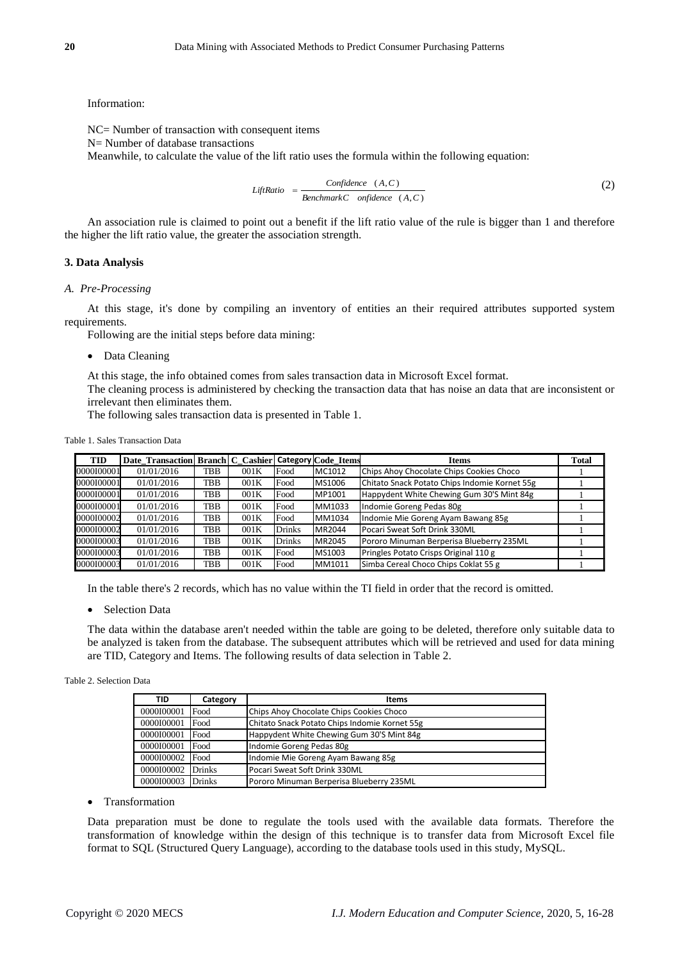Information:

NC= Number of transaction with consequent items N= Number of database transactions Meanwhile, to calculate the value of the lift ratio uses the formula within the following equation:

$$
Lif Ratio = \frac{Confidence (A, C)}{Benchmark C \ \ on \ fidence (A, C)}
$$
\n
$$
(2)
$$

An association rule is claimed to point out a benefit if the lift ratio value of the rule is bigger than 1 and therefore the higher the lift ratio value, the greater the association strength.

## **3. Data Analysis**

## *A. Pre-Processing*

At this stage, it's done by compiling an inventory of entities an their required attributes supported system requirements.

Following are the initial steps before data mining:

• Data Cleaning

At this stage, the info obtained comes from sales transaction data in Microsoft Excel format.

The cleaning process is administered by checking the transaction data that has noise an data that are inconsistent or irrelevant then eliminates them.

The following sales transaction data is presented in [Table 1.](#page-4-0)

#### <span id="page-4-0"></span>Table 1. Sales Transaction Data

| <b>TID</b> | Date Transaction Branch C Cashier Category Code Items |     |      |               |        | <b>Items</b>                                  | Total |
|------------|-------------------------------------------------------|-----|------|---------------|--------|-----------------------------------------------|-------|
| 0000100001 | 01/01/2016                                            | TBB | 001K | Food          | MC1012 | Chips Ahoy Chocolate Chips Cookies Choco      |       |
| 0000100001 | 01/01/2016                                            | TBB | 001K | Food          | MS1006 | Chitato Snack Potato Chips Indomie Kornet 55g |       |
| 0000100001 | 01/01/2016                                            | TBB | 001K | Food          | MP1001 | Happydent White Chewing Gum 30'S Mint 84g     |       |
| 0000100001 | 01/01/2016                                            | TBB | 001K | Food          | MM1033 | Indomie Goreng Pedas 80g                      |       |
| 0000100002 | 01/01/2016                                            | TBB | 001K | Food          | MM1034 | Indomie Mie Goreng Ayam Bawang 85g            |       |
| 0000100002 | 01/01/2016                                            | TBB | 001K | <b>Drinks</b> | MR2044 | Pocari Sweat Soft Drink 330ML                 |       |
| 0000100003 | 01/01/2016                                            | TBB | 001K | <b>Drinks</b> | MR2045 | Pororo Minuman Berperisa Blueberry 235ML      |       |
| 0000100003 | 01/01/2016                                            | TBB | 001K | Food          | MS1003 | Pringles Potato Crisps Original 110 g         |       |
| 0000100003 | 01/01/2016                                            | TBB | 001K | Food          | MM1011 | Simba Cereal Choco Chips Coklat 55 g          |       |

In the table there's 2 records, which has no value within the TI field in order that the record is omitted.

• Selection Data

The data within the database aren't needed within the table are going to be deleted, therefore only suitable data to be analyzed is taken from the database. The subsequent attributes which will be retrieved and used for data mining are TID, Category and Items. The following results of data selection i[n Table 2.](#page-4-1)

#### <span id="page-4-1"></span>Table 2. Selection Data

| TID               | Category | <b>Items</b>                                  |
|-------------------|----------|-----------------------------------------------|
| 0000100001        | Food     | Chips Ahoy Chocolate Chips Cookies Choco      |
| 0000100001        | Food     | Chitato Snack Potato Chips Indomie Kornet 55g |
| 0000100001        | Food     | Happydent White Chewing Gum 30'S Mint 84g     |
| 0000100001        | Food     | Indomie Goreng Pedas 80g                      |
| 0000100002        | Food     | Indomie Mie Goreng Ayam Bawang 85g            |
| 0000100002 Drinks |          | Pocari Sweat Soft Drink 330ML                 |
| 0000100003 Drinks |          | Pororo Minuman Berperisa Blueberry 235ML      |

## • Transformation

Data preparation must be done to regulate the tools used with the available data formats. Therefore the transformation of knowledge within the design of this technique is to transfer data from Microsoft Excel file format to SQL (Structured Query Language), according to the database tools used in this study, MySQL.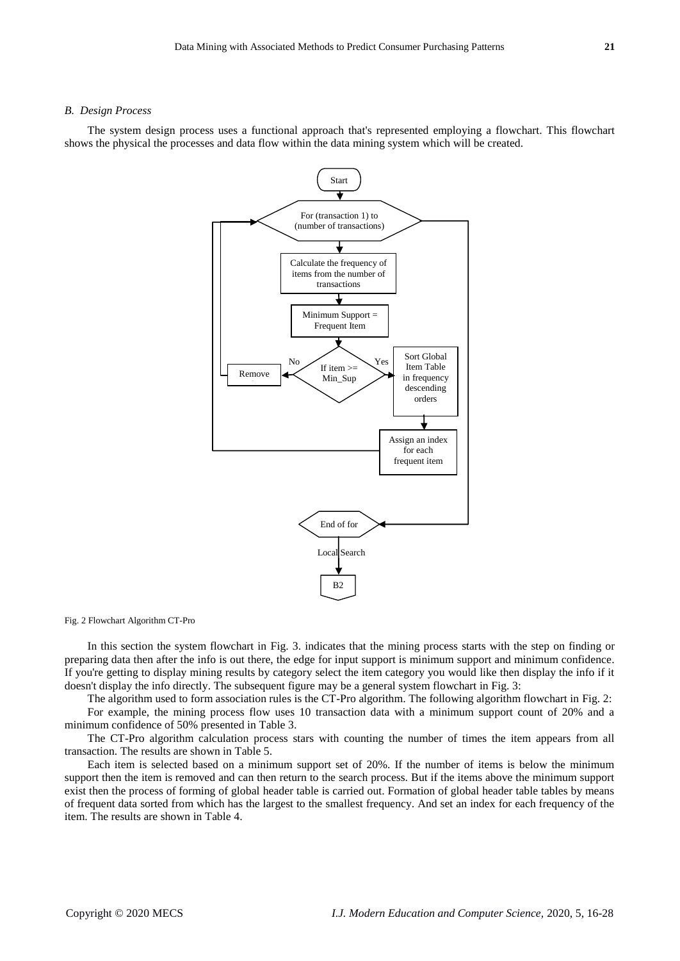#### *B. Design Process*

The system design process uses a functional approach that's represented employing a flowchart. This flowchart shows the physical the processes and data flow within the data mining system which will be created.



<span id="page-5-0"></span>Fig. 2 Flowchart Algorithm CT-Pro

In this section the system flowchart in [Fig. 3.](#page-6-0) indicates that the mining process starts with the step on finding or preparing data then after the info is out there, the edge for input support is minimum support and minimum confidence. If you're getting to display mining results by category select the item category you would like then display the info if it doesn't display the info directly. The subsequent figure may be a general system flowchart in [Fig. 3:](#page-6-0)

The algorithm used to form association rules is the CT-Pro algorithm. The following algorithm flowchart in [Fig. 2:](#page-5-0) For example, the mining process flow uses 10 transaction data with a minimum support count of 20% and a minimum confidence of 50% presented in [Table 3.](#page-6-1)

The CT-Pro algorithm calculation process stars with counting the number of times the item appears from all transaction. The results are shown in Table 5.

Each item is selected based on a minimum support set of 20%. If the number of items is below the minimum support then the item is removed and can then return to the search process. But if the items above the minimum support exist then the process of forming of global header table is carried out. Formation of global header table tables by means of frequent data sorted from which has the largest to the smallest frequency. And set an index for each frequency of the item. The results are shown i[n Table 4.](#page-6-2)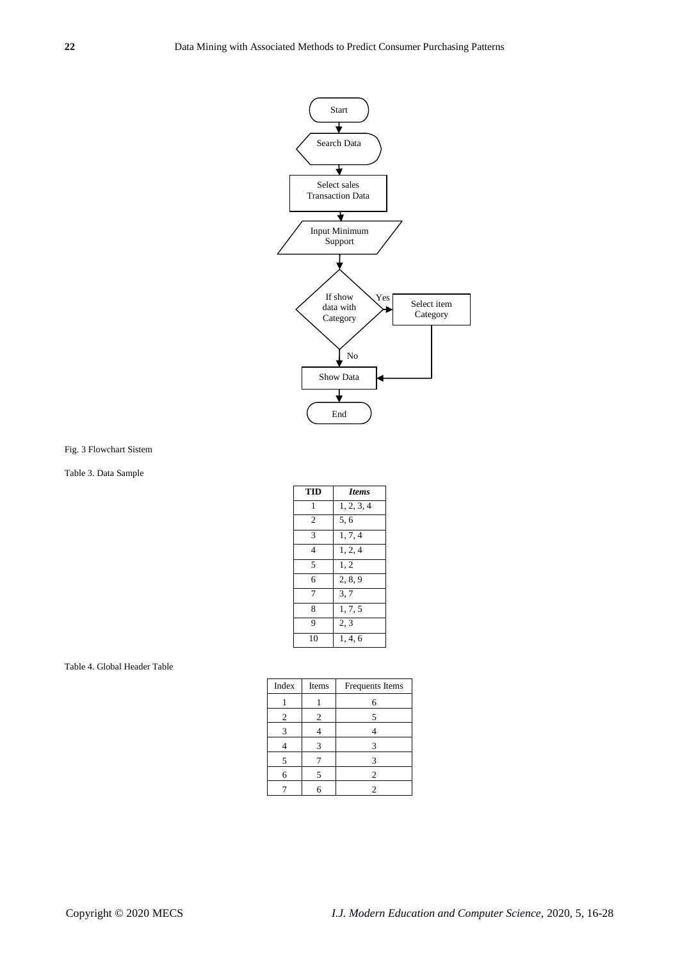

<span id="page-6-0"></span>Fig. 3 Flowchart Sistem

# <span id="page-6-1"></span>Table 3. Data Sample

| TID            | <b>Items</b> |
|----------------|--------------|
| 1              | 1, 2, 3, 4   |
| $\overline{c}$ | 5,6          |
| 3              | 1, 7, 4      |
| $\overline{4}$ | 1, 2, 4      |
| 5              | 1.2          |
| 6              | 2.8.9        |
| 7              | 3,7          |
| 8              | 1, 7, 5      |
| 9              | 2, 3         |
| 10             | 1, 4, 6      |

#### <span id="page-6-2"></span>Table 4. Global Header Table

| Index | Items          | Frequents Items |  |
|-------|----------------|-----------------|--|
|       |                | 6               |  |
| 2     | $\overline{c}$ |                 |  |
| 3     |                |                 |  |
|       | 3              | 3               |  |
| 5     |                | 3               |  |
| 6     |                | $\overline{c}$  |  |
|       |                |                 |  |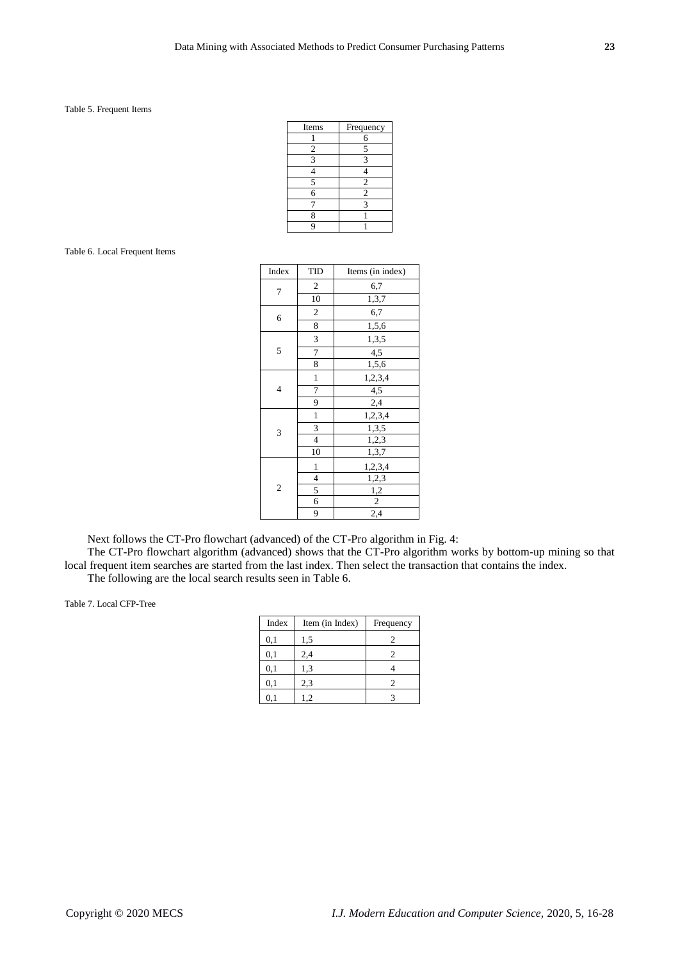## Table 5. Frequent Items

| Items | Frequency      |
|-------|----------------|
|       | 6              |
| 2     | 5              |
| 3     | ٩              |
|       |                |
| 5     | 2              |
| 6     | $\overline{c}$ |
|       | 3              |
| 8     |                |
|       |                |

#### <span id="page-7-0"></span>Table 6. Local Frequent Items

| Index          | TID                     | Items (in index) |  |  |  |
|----------------|-------------------------|------------------|--|--|--|
| 7              | $\overline{2}$          | 6,7              |  |  |  |
|                | 10                      | 1,3,7            |  |  |  |
| 6              | $\overline{c}$          | 6,7              |  |  |  |
|                | 8                       | 1,5,6            |  |  |  |
|                | 3                       | 1,3,5            |  |  |  |
| 5              | 7                       | 4,5              |  |  |  |
|                | 8                       | 1,5,6            |  |  |  |
|                | 1                       | 1,2,3,4          |  |  |  |
| 4              | 7                       | 4,5              |  |  |  |
|                | 9                       | 2,4              |  |  |  |
|                | $\mathbf{1}$            | 1,2,3,4          |  |  |  |
| 3              | $\overline{\mathbf{3}}$ | 1,3,5            |  |  |  |
|                | $\overline{4}$          | 1,2,3            |  |  |  |
|                | 10                      | 1,3,7            |  |  |  |
|                | 1                       | 1,2,3,4          |  |  |  |
|                | 4                       | 1,2,3            |  |  |  |
| $\overline{c}$ | 5                       | 1,2              |  |  |  |
|                | 6                       | $\sqrt{2}$       |  |  |  |
|                | 9                       | 2,4              |  |  |  |

Next follows the CT-Pro flowchart (advanced) of the CT-Pro algorithm in [Fig. 4:](#page-8-0)

The CT-Pro flowchart algorithm (advanced) shows that the CT-Pro algorithm works by bottom-up mining so that local frequent item searches are started from the last index. Then select the transaction that contains the index. The following are the local search results seen in [Table 6.](#page-7-0)

<span id="page-7-1"></span>Table 7. Local CFP-Tree

| Index | Item (in Index) | Frequency |
|-------|-----------------|-----------|
| 0,1   | 1,5             |           |
| 0,1   | 2,4             |           |
| 0,1   | 1,3             |           |
| 0,1   | 2,3             |           |
|       |                 |           |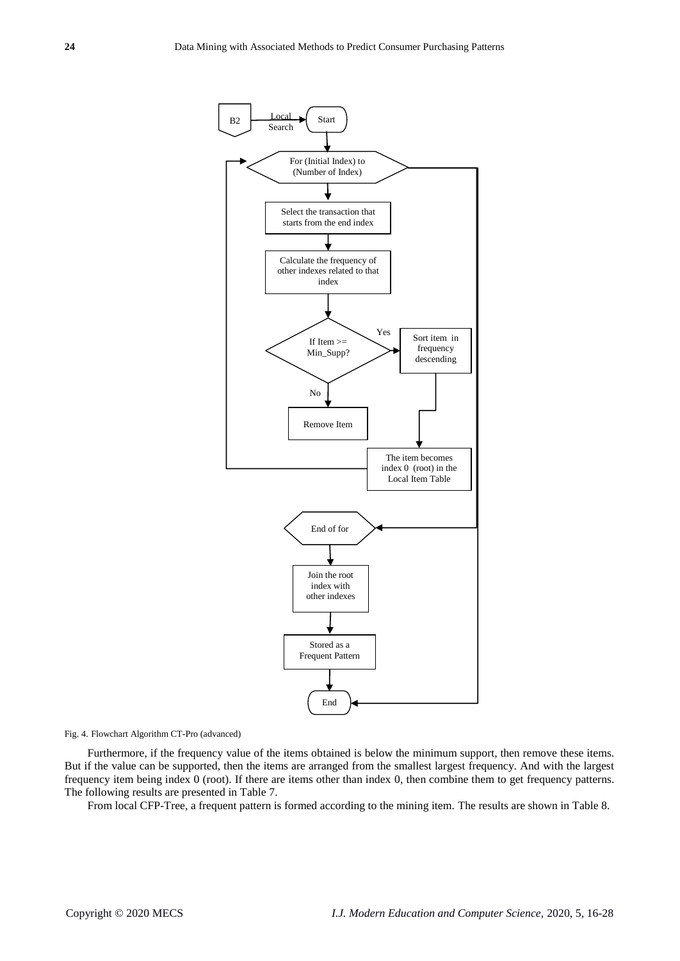

<span id="page-8-0"></span>Fig. 4. Flowchart Algorithm CT-Pro (advanced)

Furthermore, if the frequency value of the items obtained is below the minimum support, then remove these items. But if the value can be supported, then the items are arranged from the smallest largest frequency. And with the largest frequency item being index 0 (root). If there are items other than index 0, then combine them to get frequency patterns. The following results are presented in [Table 7.](#page-7-1)

From local CFP-Tree, a frequent pattern is formed according to the mining item. The results are shown in Table 8.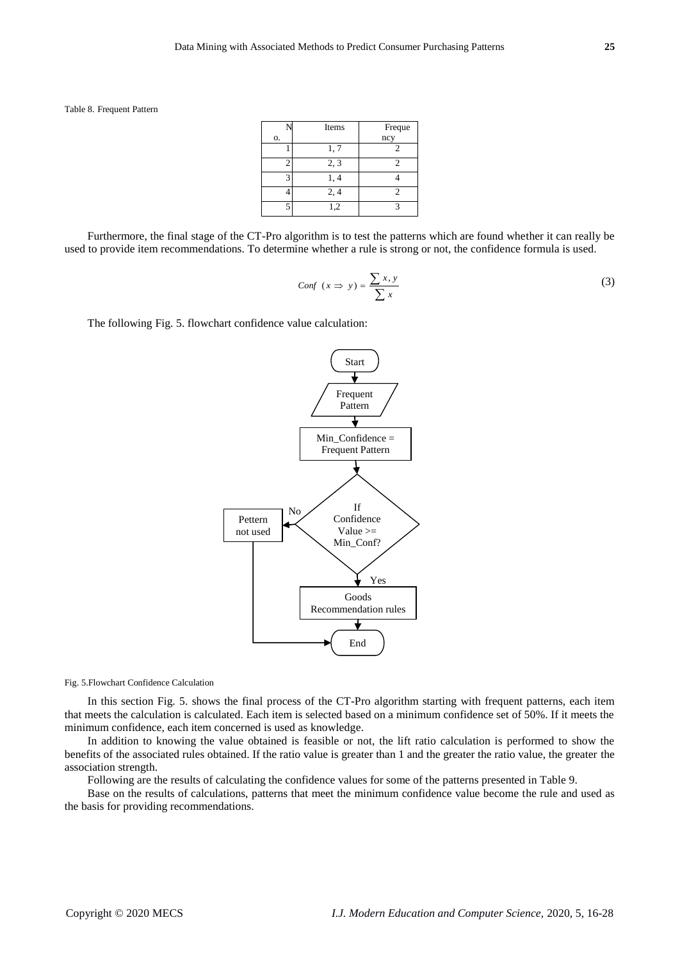Table 8. Frequent Pattern

|    | Items | Freque |
|----|-------|--------|
| о. |       | ncy    |
|    | 1, 7  |        |
| 2  | 2, 3  |        |
| 3  | 1, 4  |        |
|    | 2, 4  |        |
| 5  | 1,2   |        |

Furthermore, the final stage of the CT-Pro algorithm is to test the patterns which are found whether it can really be used to provide item recommendations. To determine whether a rule is strong or not, the confidence formula is used.

$$
Conf(x \Rightarrow y) = \frac{\sum x, y}{\sum x}
$$
\n(3)

The following [Fig. 5.](#page-9-0) flowchart confidence value calculation:



<span id="page-9-0"></span>Fig. 5.Flowchart Confidence Calculation

In this section [Fig. 5.](#page-9-0) shows the final process of the CT-Pro algorithm starting with frequent patterns, each item that meets the calculation is calculated. Each item is selected based on a minimum confidence set of 50%. If it meets the minimum confidence, each item concerned is used as knowledge.

In addition to knowing the value obtained is feasible or not, the lift ratio calculation is performed to show the benefits of the associated rules obtained. If the ratio value is greater than 1 and the greater the ratio value, the greater the association strength.

Following are the results of calculating the confidence values for some of the patterns presented in [Table 9.](#page-10-0)

Base on the results of calculations, patterns that meet the minimum confidence value become the rule and used as the basis for providing recommendations.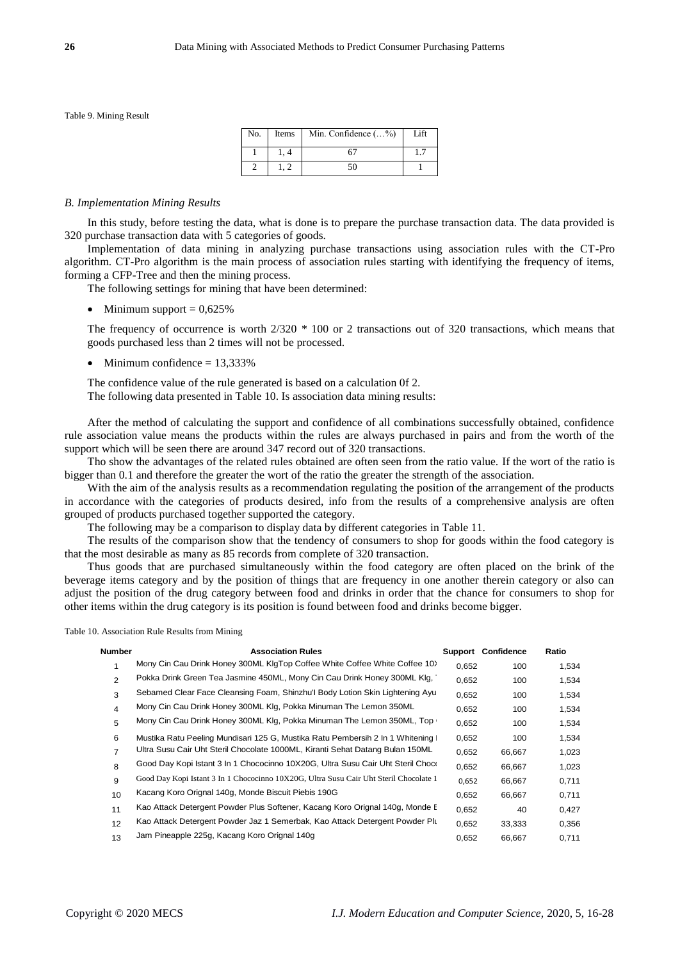<span id="page-10-0"></span>Table 9. Mining Result

| No. | Items | Min. Confidence $(\ldots \%)$ | I ift |
|-----|-------|-------------------------------|-------|
|     |       |                               |       |
|     |       |                               |       |

#### *B. Implementation Mining Results*

In this study, before testing the data, what is done is to prepare the purchase transaction data. The data provided is 320 purchase transaction data with 5 categories of goods.

Implementation of data mining in analyzing purchase transactions using association rules with the CT-Pro algorithm. CT-Pro algorithm is the main process of association rules starting with identifying the frequency of items, forming a CFP-Tree and then the mining process.

The following settings for mining that have been determined:

 $\bullet$  Minimum support = 0,625%

The frequency of occurrence is worth 2/320 \* 100 or 2 transactions out of 320 transactions, which means that goods purchased less than 2 times will not be processed.

 $\bullet$  Minimum confidence = 13,333%

The confidence value of the rule generated is based on a calculation 0f 2. The following data presented in [Table 10.](#page-10-1) Is association data mining results:

After the method of calculating the support and confidence of all combinations successfully obtained, confidence rule association value means the products within the rules are always purchased in pairs and from the worth of the support which will be seen there are around 347 record out of 320 transactions.

Tho show the advantages of the related rules obtained are often seen from the ratio value. If the wort of the ratio is bigger than 0.1 and therefore the greater the wort of the ratio the greater the strength of the association.

With the aim of the analysis results as a recommendation regulating the position of the arrangement of the products in accordance with the categories of products desired, info from the results of a comprehensive analysis are often grouped of products purchased together supported the category.

The following may be a comparison to display data by different categories in Table 11.

The results of the comparison show that the tendency of consumers to shop for goods within the food category is that the most desirable as many as 85 records from complete of 320 transaction.

Thus goods that are purchased simultaneously within the food category are often placed on the brink of the beverage items category and by the position of things that are frequency in one another therein category or also can adjust the position of the drug category between food and drinks in order that the chance for consumers to shop for other items within the drug category is its position is found between food and drinks become bigger.

<span id="page-10-1"></span>Table 10. Association Rule Results from Mining

| Number         | <b>Association Rules</b>                                                              |       | Support Confidence | Ratio |
|----------------|---------------------------------------------------------------------------------------|-------|--------------------|-------|
|                | Mony Cin Cau Drink Honey 300ML KIgTop Coffee White Coffee White Coffee 10>            | 0,652 | 100                | 1,534 |
| 2              | Pokka Drink Green Tea Jasmine 450ML, Mony Cin Cau Drink Honey 300ML Klg,              | 0,652 | 100                | 1,534 |
| 3              | Sebamed Clear Face Cleansing Foam, Shinzhu'l Body Lotion Skin Lightening Ayu          | 0,652 | 100                | 1,534 |
| 4              | Mony Cin Cau Drink Honey 300ML Klg, Pokka Minuman The Lemon 350ML                     | 0,652 | 100                | 1,534 |
| 5              | Mony Cin Cau Drink Honey 300ML Klg, Pokka Minuman The Lemon 350ML, Top +              | 0,652 | 100                | 1,534 |
| 6              | Mustika Ratu Peeling Mundisari 125 G, Mustika Ratu Pembersih 2 In 1 Whitening I       | 0,652 | 100                | 1,534 |
| $\overline{7}$ | Ultra Susu Cair Uht Steril Chocolate 1000ML, Kiranti Sehat Datang Bulan 150ML         | 0,652 | 66,667             | 1,023 |
| 8              | Good Day Kopi Istant 3 In 1 Chococinno 10X20G, Ultra Susu Cair Uht Steril Choco       | 0,652 | 66,667             | 1,023 |
| 9              | Good Day Kopi Istant 3 In 1 Chococinno 10X20G, Ultra Susu Cair Uht Steril Chocolate 1 | 0,652 | 66,667             | 0,711 |
| 10             | Kacang Koro Orignal 140g, Monde Biscuit Piebis 190G                                   | 0,652 | 66,667             | 0,711 |
| 11             | Kao Attack Detergent Powder Plus Softener, Kacang Koro Orignal 140g, Monde E          | 0,652 | 40                 | 0,427 |
| 12             | Kao Attack Detergent Powder Jaz 1 Semerbak, Kao Attack Detergent Powder Plu           | 0,652 | 33,333             | 0,356 |
| 13             | Jam Pineapple 225g, Kacang Koro Orignal 140g                                          | 0,652 | 66,667             | 0,711 |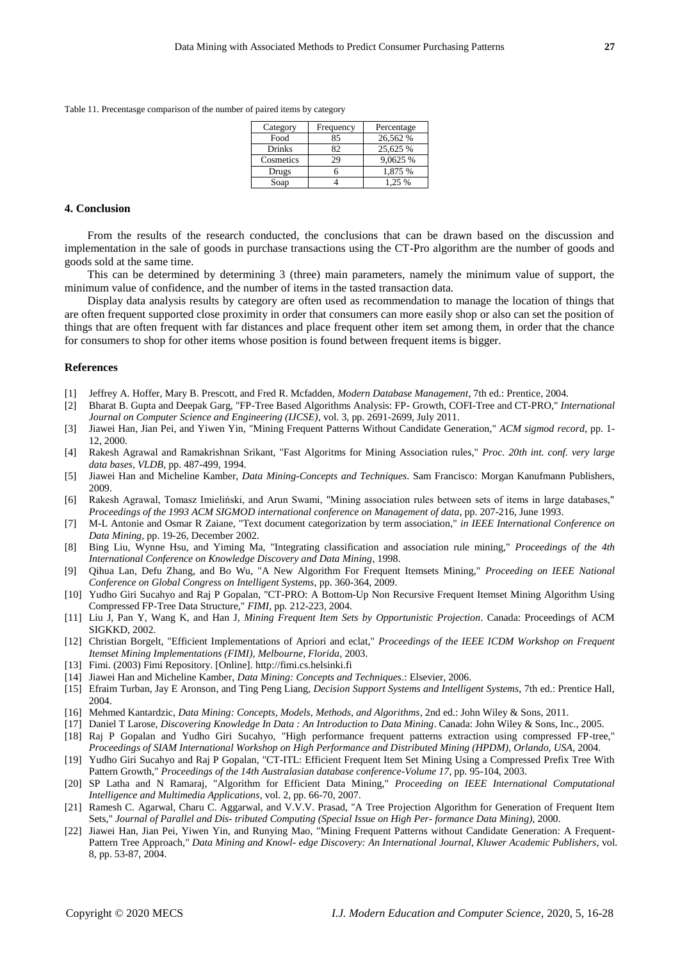Table 11. Precentasge comparison of the number of paired items by category

| Category      | Frequency | Percentage |
|---------------|-----------|------------|
| Food          | 85        | 26,562 %   |
| <b>Drinks</b> | 82        | 25,625 %   |
| Cosmetics     | 29        | 9,0625 %   |
| Drugs         |           | 1,875 %    |
| Soap          |           | 1.25 %     |

## **4. Conclusion**

From the results of the research conducted, the conclusions that can be drawn based on the discussion and implementation in the sale of goods in purchase transactions using the CT-Pro algorithm are the number of goods and goods sold at the same time.

This can be determined by determining 3 (three) main parameters, namely the minimum value of support, the minimum value of confidence, and the number of items in the tasted transaction data.

Display data analysis results by category are often used as recommendation to manage the location of things that are often frequent supported close proximity in order that consumers can more easily shop or also can set the position of things that are often frequent with far distances and place frequent other item set among them, in order that the chance for consumers to shop for other items whose position is found between frequent items is bigger.

#### **References**

- <span id="page-11-0"></span>[1] Jeffrey A. Hoffer, Mary B. Prescott, and Fred R. Mcfadden, *Modern Database Management*, 7th ed.: Prentice, 2004.
- <span id="page-11-1"></span>[2] Bharat B. Gupta and Deepak Garg, "FP-Tree Based Algorithms Analysis: FP- Growth, COFI-Tree and CT-PRO," *International Journal on Computer Science and Engineering (IJCSE)*, vol. 3, pp. 2691-2699, July 2011.
- <span id="page-11-2"></span>[3] Jiawei Han, Jian Pei, and Yiwen Yin, "Mining Frequent Patterns Without Candidate Generation," *ACM sigmod record*, pp. 1- 12, 2000.
- [4] Rakesh Agrawal and Ramakrishnan Srikant, "Fast Algoritms for Mining Association rules," *Proc. 20th int. conf. very large data bases, VLDB*, pp. 487-499, 1994.
- [5] Jiawei Han and Micheline Kamber, *Data Mining-Concepts and Techniques*. Sam Francisco: Morgan Kanufmann Publishers, 2009.
- [6] Rakesh Agrawal, Tomasz Imieliński, and Arun Swami, "Mining association rules between sets of items in large databases," *Proceedings of the 1993 ACM SIGMOD international conference on Management of data*, pp. 207-216, June 1993.
- <span id="page-11-3"></span>[7] M-L Antonie and Osmar R Zaiane, "Text document categorization by term association," *in IEEE International Conference on Data Mining*, pp. 19-26, December 2002.
- <span id="page-11-4"></span>[8] Bing Liu, Wynne Hsu, and Yiming Ma, "Integrating classification and association rule mining," *Proceedings of the 4th International Conference on Knowledge Discovery and Data Mining*, 1998.
- [9] Qihua Lan, Defu Zhang, and Bo Wu, "A New Algorithm For Frequent Itemsets Mining," *Proceeding on IEEE National Conference on Global Congress on Intelligent Systems*, pp. 360-364, 2009.
- <span id="page-11-5"></span>[10] Yudho Giri Sucahyo and Raj P Gopalan, "CT-PRO: A Bottom-Up Non Recursive Frequent Itemset Mining Algorithm Using Compressed FP-Tree Data Structure," *FIMI*, pp. 212-223, 2004.
- <span id="page-11-6"></span>[11] Liu J, Pan Y, Wang K, and Han J, *Mining Frequent Item Sets by Opportunistic Projection*. Canada: Proceedings of ACM SIGKKD, 2002.
- [12] Christian Borgelt, "Efficient Implementations of Apriori and eclat," *Proceedings of the IEEE ICDM Workshop on Frequent Itemset Mining Implementations (FIMI), Melbourne, Florida*, 2003.
- <span id="page-11-7"></span>[13] Fimi. (2003) Fimi Repository. [Online]. http://fimi.cs.helsinki.fi
- <span id="page-11-8"></span>[14] Jiawei Han and Micheline Kamber, *Data Mining: Concepts and Techniques*.: Elsevier, 2006.
- <span id="page-11-9"></span>[15] Efraim Turban, Jay E Aronson, and Ting Peng Liang, *Decision Support Systems and Intelligent Systems*, 7th ed.: Prentice Hall, 2004.
- <span id="page-11-10"></span>[16] Mehmed Kantardzic, *Data Mining: Concepts, Models, Methods, and Algorithms*, 2nd ed.: John Wiley & Sons, 2011.
- <span id="page-11-11"></span>[17] Daniel T Larose, *Discovering Knowledge In Data : An Introduction to Data Mining*. Canada: John Wiley & Sons, Inc., 2005.
- [18] Raj P Gopalan and Yudho Giri Sucahyo, "High performance frequent patterns extraction using compressed FP-tree," *Proceedings of SIAM International Workshop on High Performance and Distributed Mining (HPDM), Orlando, USA*, 2004.
- <span id="page-11-13"></span>[19] Yudho Giri Sucahyo and Raj P Gopalan, "CT-ITL: Efficient Frequent Item Set Mining Using a Compressed Prefix Tree With Pattern Growth," *Proceedings of the 14th Australasian database conference-Volume 17*, pp. 95-104, 2003.
- [20] SP Latha and N Ramaraj, "Algorithm for Efficient Data Mining," *Proceeding on IEEE International Computational Intelligence and Multimedia Applications*, vol. 2, pp. 66-70, 2007.
- <span id="page-11-12"></span>[21] Ramesh C. Agarwal, Charu C. Aggarwal, and V.V.V. Prasad, "A Tree Projection Algorithm for Generation of Frequent Item Sets," *Journal of Parallel and Dis- tributed Computing (Special Issue on High Per- formance Data Mining)*, 2000.
- [22] Jiawei Han, Jian Pei, Yiwen Yin, and Runying Mao, "Mining Frequent Patterns without Candidate Generation: A Frequent-Pattern Tree Approach," *Data Mining and Knowl- edge Discovery: An International Journal, Kluwer Academic Publishers*, vol. 8, pp. 53-87, 2004.